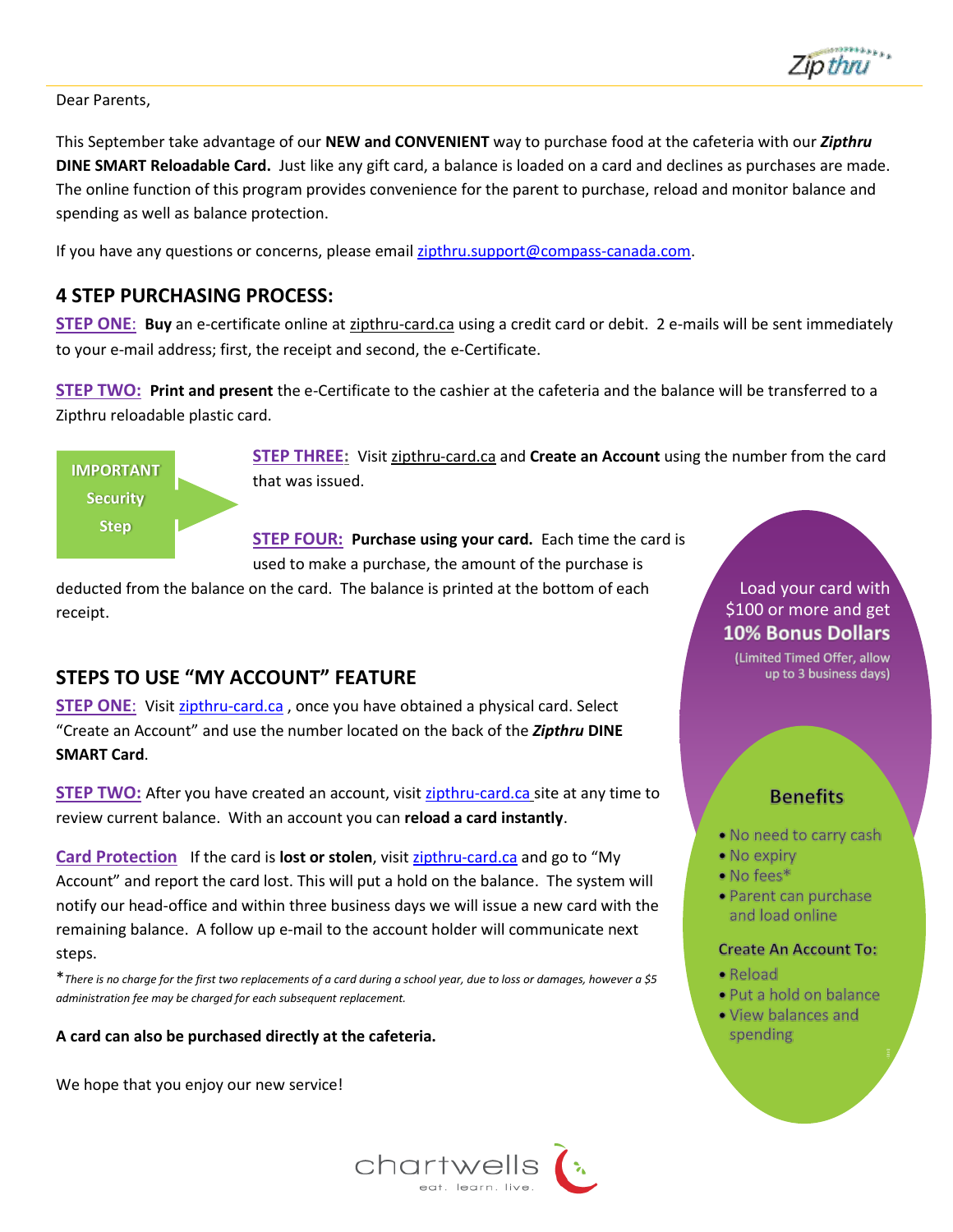

#### Dear Parents,

This September take advantage of our **NEW and CONVENIENT** way to purchase food at the cafeteria with our *Zipthru* **DINE SMART Reloadable Card.** Just like any gift card, a balance is loaded on a card and declines as purchases are made. The online function of this program provides convenience for the parent to purchase, reload and monitor balance and spending as well as balance protection.

If you have any questions or concerns, please email [zipthru.support@compass-canada.com.](mailto:zipthru.support@compass-canada.com)

#### **4 STEP PURCHASING PROCESS:**

**STEP ONE**: **Buy** an e-certificate online a[t zipthru-card.ca](http://www.zipthru-card.ca/) using a credit card or debit. 2 e-mails will be sent immediately to your e-mail address; first, the receipt and second, the e-Certificate.

**STEP TWO: Print and present** the e-Certificate to the cashier at the cafeteria and the balance will be transferred to a Zipthru reloadable plastic card.

**IMPORTANT Security Step**

**STEP THREE:** Visi[t zipthru-card.ca](http://www.zipthru-card.ca/) and **Create an Account** using the number from the card that was issued.

**STEP FOUR: Purchase using your card.** Each time the card is used to make a purchase, the amount of the purchase is

deducted from the balance on the card. The balance is printed at the bottom of each receipt.

#### **STEPS TO USE "MY ACCOUNT" FEATURE**

**STEP ONE**: Visit [zipthru-card.ca](http://www.zipthru-card.ca/) , once you have obtained a physical card. Select "Create an Account" and use the number located on the back of the *Zipthru* **DINE SMART Card**.

**STEP TWO:** After you have created an account, visit [zipthru-card.ca](https://wwws.givex.com/cws/compassgroup/consumer/main/home.py) site at any time to review current balance. With an account you can **reload a card instantly**.

**Card Protection** If the card is **lost or stolen**, visit [zipthru-card.ca](https://wwws.givex.com/cws/compassgroup/consumer/main/home.py) and go to "My Account" and report the card lost. This will put a hold on the balance. The system will notify our head-office and within three business days we will issue a new card with the remaining balance. A follow up e-mail to the account holder will communicate next steps.

\**There is no charge for the first two replacements of a card during a school year, due to loss or damages, however a \$5 administration fee may be charged for each subsequent replacement.*

#### **A card can also be purchased directly at the cafeteria.**

We hope that you enjoy our new service!



#### Load your card with \$100 or more and get **10% Bonus Dollars**

(Limited Timed Offer, allow up to 3 business days)

#### **Benefits**

- . No need to carry cash
- $\bullet$  No expiry
- $\bullet$  No fees\*
- · Parent can purchase and load online

#### **Create An Account To:**

- $\bullet$  Reload
- · Put a hold on balance
- . View balances and spending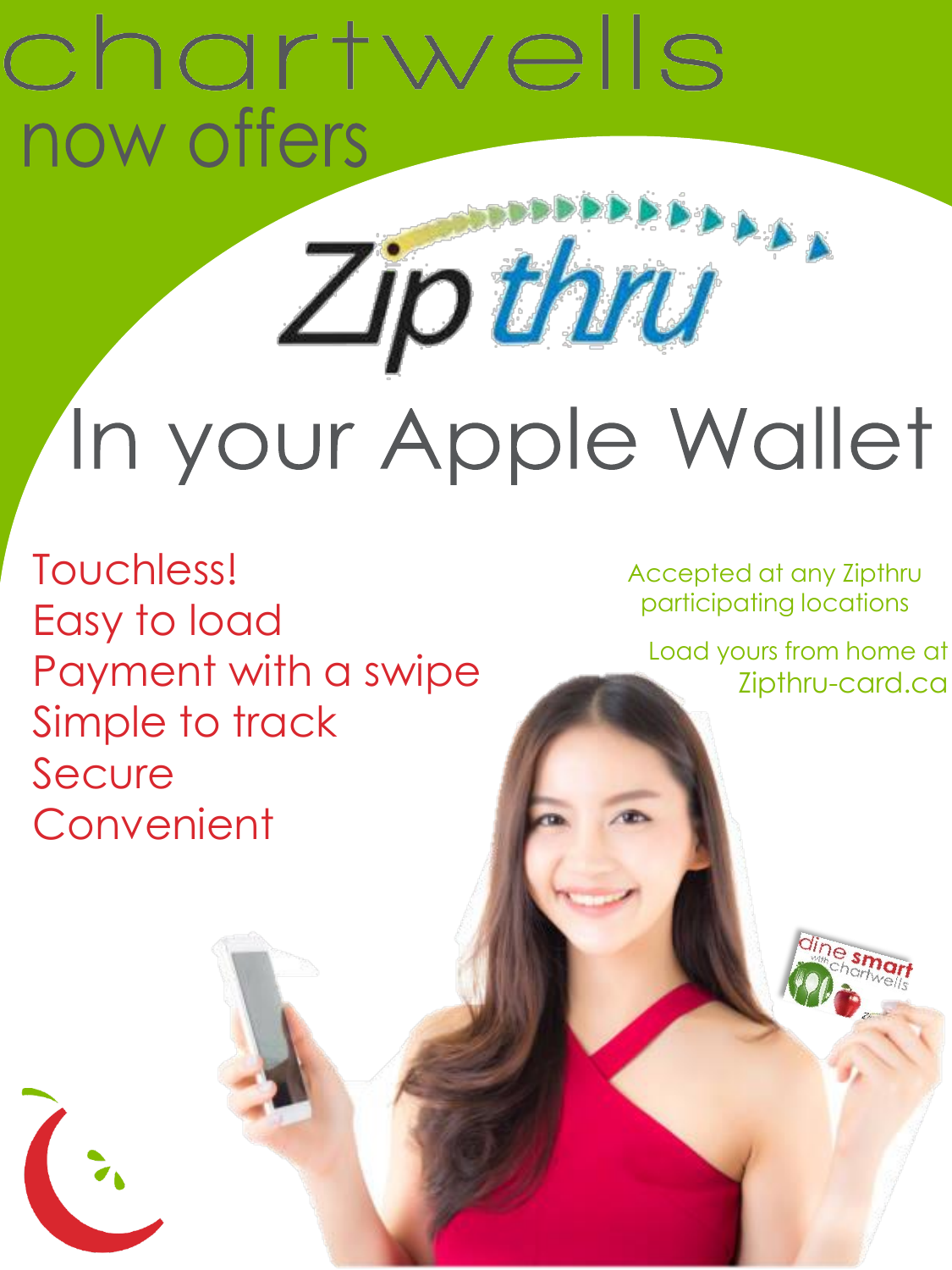## chartwells now offers

# Zipthru In your Apple Wallet

Touchless! Easy to load Payment with a swipe Simple to track Secure Convenient

Accepted at any Zipthru participating locations

Load yours from home at Zipthru-card.ca